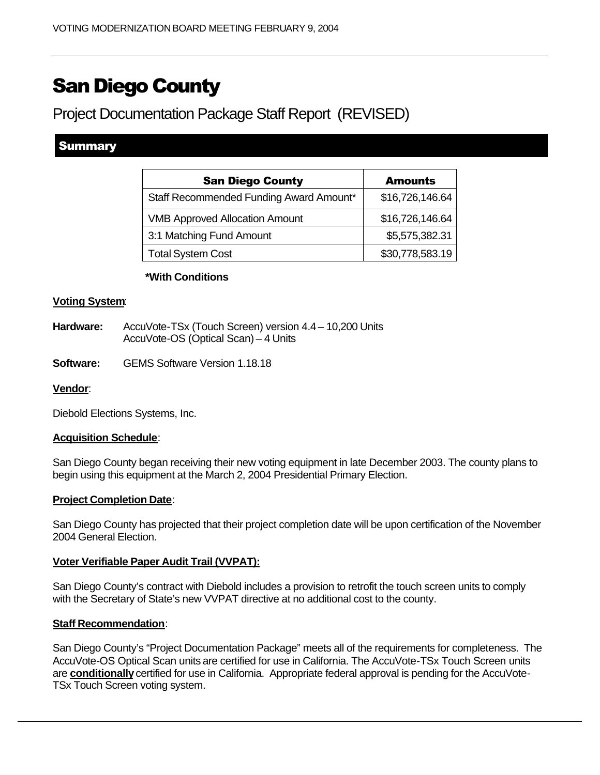# San Diego County

Project Documentation Package Staff Report (REVISED)

# Summary

| <b>San Diego County</b>                 | <b>Amounts</b>  |
|-----------------------------------------|-----------------|
| Staff Recommended Funding Award Amount* | \$16,726,146.64 |
| <b>VMB Approved Allocation Amount</b>   | \$16,726,146.64 |
| 3:1 Matching Fund Amount                | \$5,575,382.31  |
| <b>Total System Cost</b>                | \$30,778,583.19 |

# **\*With Conditions**

# **Voting System**:

- Hardware: AccuVote-TSx (Touch Screen) version 4.4 10,200 Units AccuVote-OS (Optical Scan) – 4 Units
- **Software:** GEMS Software Version 1.18.18

#### **Vendor**:

Diebold Elections Systems, Inc.

#### **Acquisition Schedule**:

San Diego County began receiving their new voting equipment in late December 2003. The county plans to begin using this equipment at the March 2, 2004 Presidential Primary Election.

#### **Project Completion Date**:

San Diego County has projected that their project completion date will be upon certification of the November 2004 General Election.

# **Voter Verifiable Paper Audit Trail (VVPAT):**

San Diego County's contract with Diebold includes a provision to retrofit the touch screen units to comply with the Secretary of State's new VVPAT directive at no additional cost to the county.

#### **Staff Recommendation**:

San Diego County's "Project Documentation Package" meets all of the requirements for completeness. The AccuVote-OS Optical Scan units are certified for use in California. The AccuVote-TSx Touch Screen units are **conditionally** certified for use in California. Appropriate federal approval is pending for the AccuVote-TSx Touch Screen voting system.